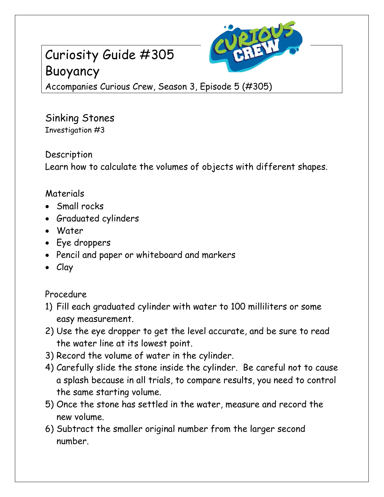# Curiosity Guide #305 Buoyancy



Accompanies Curious Crew, Season 3, Episode 5 (#305)

Sinking Stones Investigation #3

Description

Learn how to calculate the volumes of objects with different shapes.

## Materials

- Small rocks
- Graduated cylinders
- Water
- Eye droppers
- Pencil and paper or whiteboard and markers
- Clay

## Procedure

- 1) Fill each graduated cylinder with water to 100 milliliters or some easy measurement.
- 2) Use the eye dropper to get the level accurate, and be sure to read the water line at its lowest point.
- 3) Record the volume of water in the cylinder.
- 4) Carefully slide the stone inside the cylinder. Be careful not to cause a splash because in all trials, to compare results, you need to control the same starting volume.
- 5) Once the stone has settled in the water, measure and record the new volume.
- 6) Subtract the smaller original number from the larger second number.